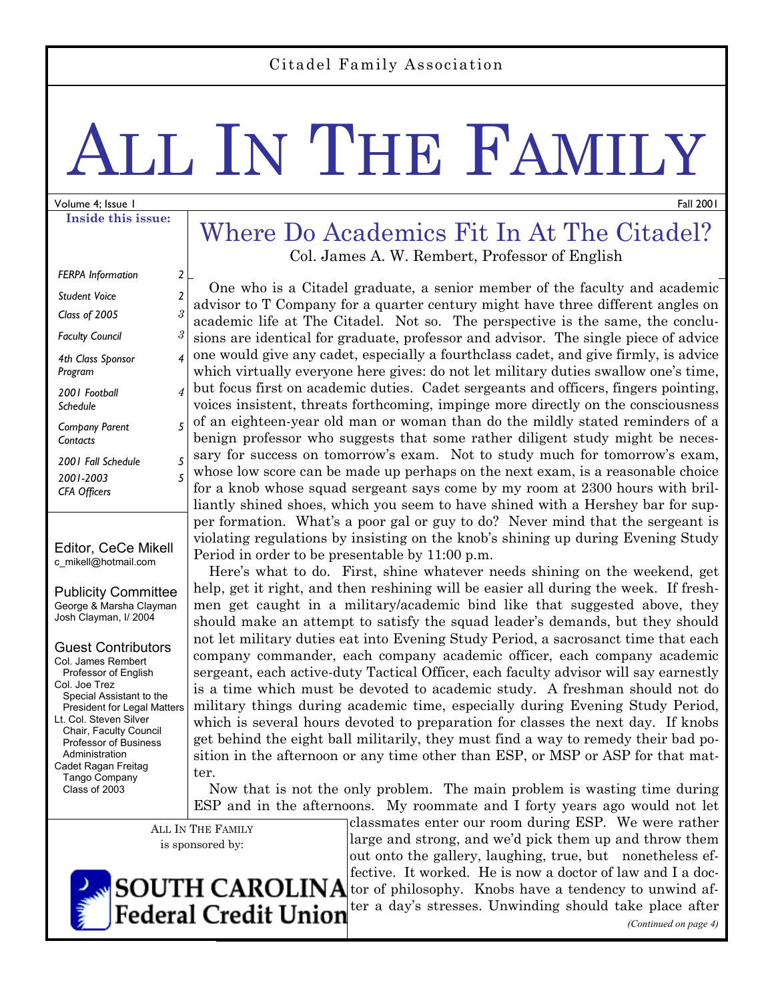# LL IN THE FAMILY

#### Volume 4; Issue 1 **Inside this issue:**

| <b>FERPA Information</b>                    | 2 |
|---------------------------------------------|---|
| Student Voice                               | 2 |
| Class of 2005                               | 3 |
| <b>Faculty Council</b>                      | 3 |
| 4th Class Sponsor<br>Program                | 4 |
| 2001 Football<br>Schedule                   | 4 |
| <b>Company Parent</b><br>Contacts           | 5 |
| 2001 Fall Schedule                          | 5 |
| 2001-2003<br><b>CFA Officers</b>            | 5 |
| Editor, CeCe Mikell<br>c mikell@hotmail.com |   |

Publicity Committee George & Marsha Clayman Josh Clayman, I/ 2004

Guest Contributors Col. James Rembert Professor of English Col. Joe Trez Special Assistant to the President for Legal Matters Lt. Col. Steven Silver Chair, Faculty Council Professor of Business Administration Cadet Ragan Freitag Tango Company Class of 2003

#### Where Do Academics Fit In At The Citadel? Col. James A. W. Rembert, Professor of English

 One who is a Citadel graduate, a senior member of the faculty and academic advisor to T Company for a quarter century might have three different angles on academic life at The Citadel. Not so. The perspective is the same, the conclusions are identical for graduate, professor and advisor. The single piece of advice one would give any cadet, especially a fourthclass cadet, and give firmly, is advice which virtually everyone here gives: do not let military duties swallow one's time, but focus first on academic duties. Cadet sergeants and officers, fingers pointing, voices insistent, threats forthcoming, impinge more directly on the consciousness of an eighteen-year old man or woman than do the mildly stated reminders of a benign professor who suggests that some rather diligent study might be necessary for success on tomorrow's exam. Not to study much for tomorrow's exam, whose low score can be made up perhaps on the next exam, is a reasonable choice for a knob whose squad sergeant says come by my room at 2300 hours with brilliantly shined shoes, which you seem to have shined with a Hershey bar for supper formation. What's a poor gal or guy to do? Never mind that the sergeant is violating regulations by insisting on the knob's shining up during Evening Study Period in order to be presentable by 11:00 p.m.

 Here's what to do. First, shine whatever needs shining on the weekend, get help, get it right, and then reshining will be easier all during the week. If freshmen get caught in a military/academic bind like that suggested above, they should make an attempt to satisfy the squad leader's demands, but they should not let military duties eat into Evening Study Period, a sacrosanct time that each company commander, each company academic officer, each company academic sergeant, each active-duty Tactical Officer, each faculty advisor will say earnestly is a time which must be devoted to academic study. A freshman should not do military things during academic time, especially during Evening Study Period, which is several hours devoted to preparation for classes the next day. If knobs get behind the eight ball militarily, they must find a way to remedy their bad position in the afternoon or any time other than ESP, or MSP or ASP for that matter.

 Now that is not the only problem. The main problem is wasting time during ESP and in the afternoons. My roommate and I forty years ago would not let

ALL IN THE FAMILY is sponsored by:

classmates enter our room during ESP. We were rather large and strong, and we'd pick them up and throw them out onto the gallery, laughing, true, but nonetheless effective. It worked. He is now a doctor of law and I a doc- $\textbf{SOUTH}$   $\textbf{CAROLINA}$  for of philosophy. Knobs have a tendency to unwind after a day's stresses. Unwinding should take place after *(Continued on page 4)* 



**Federal Credit Union** 



Fall 2001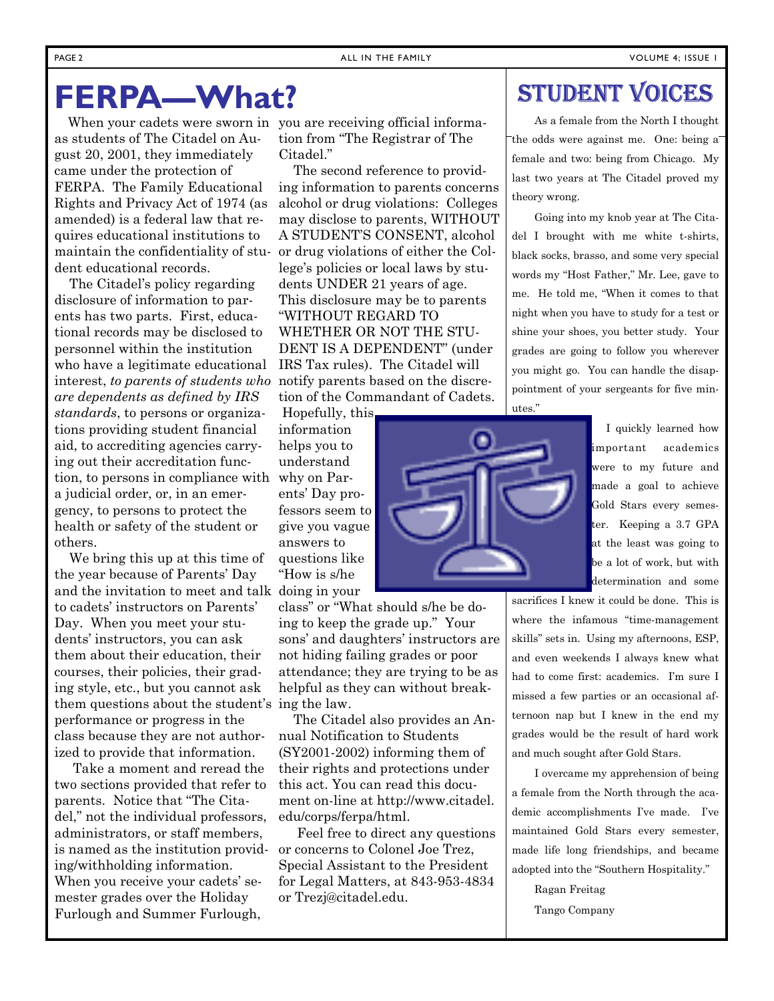### **FERPA—What?**

 When your cadets were sworn in you are receiving official informaas students of The Citadel on August 20, 2001, they immediately came under the protection of FERPA. The Family Educational Rights and Privacy Act of 1974 (as amended) is a federal law that requires educational institutions to maintain the confidentiality of student educational records.

 The Citadel's policy regarding disclosure of information to parents has two parts. First, educational records may be disclosed to personnel within the institution who have a legitimate educational interest, *to parents of students who are dependents as defined by IRS standards*, to persons or organizations providing student financial aid, to accrediting agencies carrying out their accreditation function, to persons in compliance with a judicial order, or, in an emergency, to persons to protect the health or safety of the student or others.

 We bring this up at this time of the year because of Parents' Day and the invitation to meet and talk doing in your to cadets' instructors on Parents' Day. When you meet your students' instructors, you can ask them about their education, their courses, their policies, their grading style, etc., but you cannot ask them questions about the student's ing the law. performance or progress in the class because they are not authorized to provide that information.

 Take a moment and reread the two sections provided that refer to parents. Notice that "The Citadel," not the individual professors, administrators, or staff members, is named as the institution providing/withholding information. When you receive your cadets' semester grades over the Holiday Furlough and Summer Furlough,

tion from "The Registrar of The Citadel."

 The second reference to providing information to parents concerns alcohol or drug violations: Colleges may disclose to parents, WITHOUT A STUDENT'S CONSENT, alcohol or drug violations of either the College's policies or local laws by students UNDER 21 years of age. This disclosure may be to parents "WITHOUT REGARD TO WHETHER OR NOT THE STU-DENT IS A DEPENDENT" (under IRS Tax rules). The Citadel will notify parents based on the discretion of the Commandant of Cadets.

 Hopefully, this information helps you to understand why on Parents' Day professors seem to give you vague answers to questions like "How is s/he

class" or "What should s/he be doing to keep the grade up." Your sons' and daughters' instructors are not hiding failing grades or poor attendance; they are trying to be as helpful as they can without break-

 The Citadel also provides an Annual Notification to Students (SY2001-2002) informing them of their rights and protections under this act. You can read this document on-line at http://www.citadel. edu/corps/ferpa/html.

 Feel free to direct any questions or concerns to Colonel Joe Trez, Special Assistant to the President for Legal Matters, at 843-953-4834 or Trezj@citadel.edu.

### STUDENT VOICES

As a female from the North I thought the odds were against me. One: being a female and two: being from Chicago. My last two years at The Citadel proved my theory wrong.

Going into my knob year at The Citadel I brought with me white t-shirts, black socks, brasso, and some very special words my "Host Father," Mr. Lee, gave to me. He told me, "When it comes to that night when you have to study for a test or shine your shoes, you better study. Your grades are going to follow you wherever you might go. You can handle the disappointment of your sergeants for five minutes."



 I quickly learned how important academics were to my future and made a goal to achieve Gold Stars every semester. Keeping a 3.7 GPA at the least was going to be a lot of work, but with determination and some

sacrifices I knew it could be done. This is where the infamous "time-management skills" sets in. Using my afternoons, ESP, and even weekends I always knew what had to come first: academics. I'm sure I missed a few parties or an occasional afternoon nap but I knew in the end my grades would be the result of hard work and much sought after Gold Stars.

I overcame my apprehension of being a female from the North through the academic accomplishments I've made. I've maintained Gold Stars every semester, made life long friendships, and became adopted into the "Southern Hospitality."

> Ragan Freitag Tango Company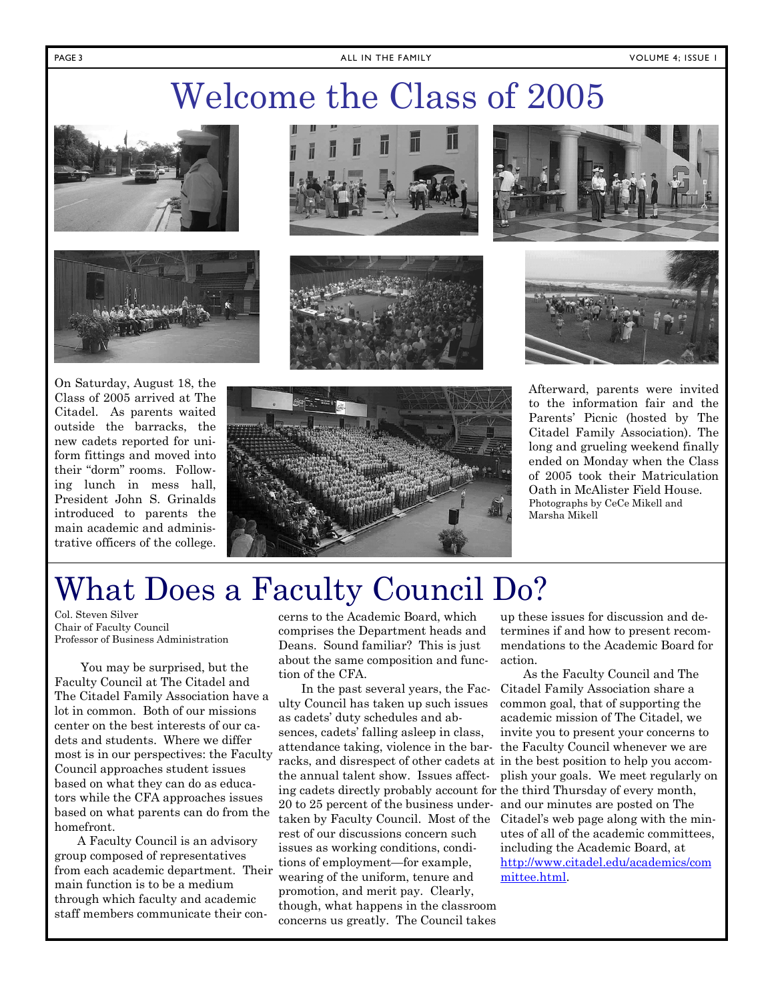# Welcome the Class of 2005





On Saturday, August 18, the Class of 2005 arrived at The Citadel. As parents waited outside the barracks, the new cadets reported for uniform fittings and moved into their "dorm" rooms. Following lunch in mess hall, President John S. Grinalds introduced to parents the main academic and administrative officers of the college.









Afterward, parents were invited to the information fair and the Parents' Picnic (hosted by The Citadel Family Association). The long and grueling weekend finally ended on Monday when the Class of 2005 took their Matriculation Oath in McAlister Field House. Photographs by CeCe Mikell and Marsha Mikell



## What Does a Faculty Council Do?

Col. Steven Silver Chair of Faculty Council Professor of Business Administration

 You may be surprised, but the Faculty Council at The Citadel and The Citadel Family Association have a lot in common. Both of our missions center on the best interests of our cadets and students. Where we differ most is in our perspectives: the Faculty Council approaches student issues based on what they can do as educators while the CFA approaches issues based on what parents can do from the homefront.

A Faculty Council is an advisory group composed of representatives from each academic department. Their main function is to be a medium through which faculty and academic staff members communicate their con-

cerns to the Academic Board, which comprises the Department heads and Deans. Sound familiar? This is just about the same composition and function of the CFA.

In the past several years, the Faculty Council has taken up such issues as cadets' duty schedules and absences, cadets' falling asleep in class, attendance taking, violence in the barracks, and disrespect of other cadets at in the best position to help you accomthe annual talent show. Issues affecting cadets directly probably account for the third Thursday of every month, 20 to 25 percent of the business under-and our minutes are posted on The taken by Faculty Council. Most of the rest of our discussions concern such issues as working conditions, conditions of employment—for example, wearing of the uniform, tenure and promotion, and merit pay. Clearly, though, what happens in the classroom concerns us greatly. The Council takes

up these issues for discussion and determines if and how to present recommendations to the Academic Board for action.

As the Faculty Council and The Citadel Family Association share a common goal, that of supporting the academic mission of The Citadel, we invite you to present your concerns to the Faculty Council whenever we are plish your goals. We meet regularly on Citadel's web page along with the minutes of all of the academic committees, including the Academic Board, at http://www.citadel.edu/academics/com mittee.html.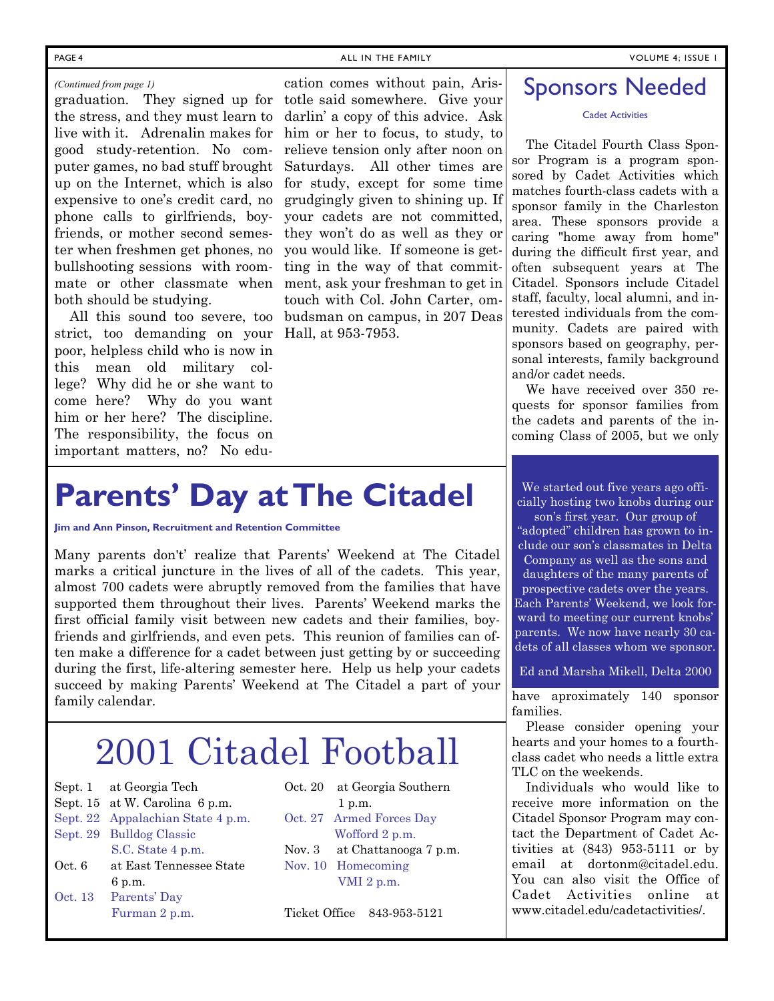#### *(Continued from page 1)*

ter when freshmen get phones, no you would like. If someone is getbullshooting sessions with room-ting in the way of that commitboth should be studying.

 All this sound too severe, too budsman on campus, in 207 Deas strict, too demanding on your Hall, at 953-7953. poor, helpless child who is now in this mean old military college? Why did he or she want to come here? Why do you want him or her here? The discipline. The responsibility, the focus on important matters, no? No edu-

graduation. They signed up for totle said somewhere. Give your the stress, and they must learn to darlin' a copy of this advice. Ask live with it. Adrenalin makes for him or her to focus, to study, to good study-retention. No com-relieve tension only after noon on puter games, no bad stuff brought Saturdays. All other times are up on the Internet, which is also for study, except for some time expensive to one's credit card, no grudgingly given to shining up. If phone calls to girlfriends, boy-your cadets are not committed, friends, or mother second semes-they won't do as well as they or mate or other classmate when ment, ask your freshman to get in cation comes without pain, Aristouch with Col. John Carter, om-

# **Parents' Day at The Citadel**

**Jim and Ann Pinson, Recruitment and Retention Committee** 

Many parents don't' realize that Parents' Weekend at The Citadel marks a critical juncture in the lives of all of the cadets. This year, almost 700 cadets were abruptly removed from the families that have supported them throughout their lives. Parents' Weekend marks the first official family visit between new cadets and their families, boyfriends and girlfriends, and even pets. This reunion of families can often make a difference for a cadet between just getting by or succeeding during the first, life-altering semester here. Help us help your cadets succeed by making Parents' Weekend at The Citadel a part of your family calendar.

# 2001 Citadel Football

- Sept. 1 at Georgia Tech
- Sept. 15 at W. Carolina 6 p.m.
- Sept. 22 Appalachian State 4 p.m.
- Sept. 29 Bulldog Classic
- S.C. State 4 p.m. Oct. 6 at East Tennessee State 6 p.m.
- Oct. 13 Parents' Day Furman 2 p.m.

| Oct. 20 at Georgia Southern    |
|--------------------------------|
| 1 p.m.                         |
| Oct. 27 Armed Forces Day       |
| Wofford 2 p.m.                 |
| Nov. 3 at Chattanooga $7 p.m.$ |
| Nov. 10 Homecoming             |
| VMI 2 p.m.                     |
|                                |

Ticket Office 843-953-5121

### Sponsors Needed

#### Cadet Activities

 The Citadel Fourth Class Sponsor Program is a program sponsored by Cadet Activities which matches fourth-class cadets with a sponsor family in the Charleston area. These sponsors provide a caring "home away from home" during the difficult first year, and often subsequent years at The Citadel. Sponsors include Citadel staff, faculty, local alumni, and interested individuals from the community. Cadets are paired with sponsors based on geography, personal interests, family background and/or cadet needs.

 We have received over 350 requests for sponsor families from the cadets and parents of the incoming Class of 2005, but we only

We started out five years ago officially hosting two knobs during our

son's first year. Our group of "adopted" children has grown to in-

clude our son's classmates in Delta Company as well as the sons and daughters of the many parents of prospective cadets over the years. Each Parents' Weekend, we look forward to meeting our current knobs' parents. We now have nearly 30 cadets of all classes whom we sponsor.

#### Ed and Marsha Mikell, Delta 2000

have aproximately 140 sponsor families.

 Please consider opening your hearts and your homes to a fourthclass cadet who needs a little extra TLC on the weekends.

 Individuals who would like to receive more information on the Citadel Sponsor Program may contact the Department of Cadet Activities at (843) 953-5111 or by email at dortonm@citadel.edu. You can also visit the Office of Cadet Activities online at www.citadel.edu/cadetactivities/.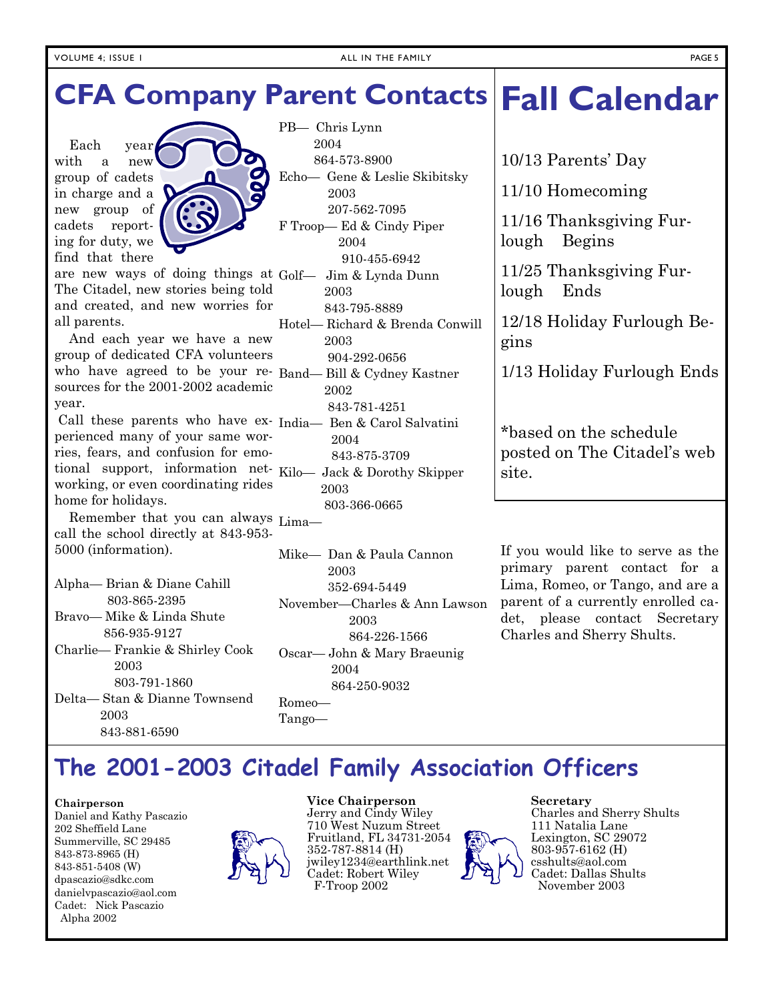# **Fall Calendar CFA Company Parent Contacts**

 Each year with a new group of cadets in charge and a new group of cadets reporting for duty, we find that there



are new ways of doing things at Golf— Jim & Lynda Dunn The Citadel, new stories being told and created, and new worries for all parents.

 And each year we have a new group of dedicated CFA volunteers who have agreed to be your re-Band— Bill & Cydney Kastner sources for the 2001-2002 academic year.

 Call these parents who have ex-India— Ben & Carol Salvatini perienced many of your same worries, fears, and confusion for emotional support, information net-Kilo— Jack & Dorothy Skipper working, or even coordinating rides home for holidays.

Remember that you can always  $_{\text{Lima}-}$ call the school directly at 843-953- 5000 (information).

Alpha— Brian & Diane Cahill 803-865-2395 Bravo— Mike & Linda Shute 856-935-9127 Charlie— Frankie & Shirley Cook 2003 803-791-1860 Delta— Stan & Dianne Townsend 2003 843-881-6590

PB— Chris Lynn 2004 864-573-8900 Echo— Gene & Leslie Skibitsky 2003 207-562-7095 F Troop— Ed & Cindy Piper 2004 910-455-6942 2003 843-795-8889 Hotel— Richard & Brenda Conwill 2003 904-292-0656 2002 843-781-4251 2004 843-875-3709 2003 803-366-0665

Mike— Dan & Paula Cannon 2003 352-694-5449 November—Charles & Ann Lawson 2003 864-226-1566 Oscar— John & Mary Braeunig 2004 864-250-9032 Romeo—

Tango—

10/13 Parents' Day

11/10 Homecoming

11/16 Thanksgiving Furlough Begins

11/25 Thanksgiving Furlough Ends

12/18 Holiday Furlough Begins

1/13 Holiday Furlough Ends

\*based on the schedule posted on The Citadel's web site.

If you would like to serve as the primary parent contact for a Lima, Romeo, or Tango, and are a parent of a currently enrolled cadet, please contact Secretary Charles and Sherry Shults.

### **The 2001-2003 Citadel Family Association Officers**

#### **Chairperson**

Daniel and Kathy Pascazio 202 Sheffield Lane Summerville, SC 29485 843-873-8965 (H) 843-851-5408 (W) dpascazio@sdkc.com danielvpascazio@aol.com Cadet: Nick Pascazio Alpha 2002



**Vice Chairperson** 

Jerry and Cindy Wiley 710 West Nuzum Street Fruitland, FL 34731-2054 352-787-8814 (H) jwiley1234@earthlink.net Cadet: Robert Wiley F-Troop 2002



**Secretary**  Charles and Sherry Shults 111 Natalia Lane Lexington, SC 29072 803-957-6162 (H) csshults@aol.com Cadet: Dallas Shults November 2003